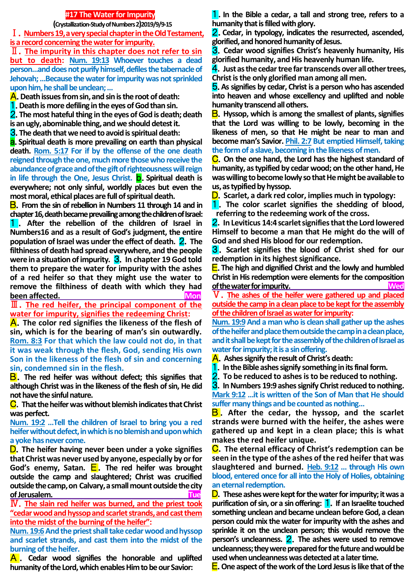### **#17 The Water for Impurity**

 **(Crystallization-Study of Numbers 2)2019/9/9-15** Ⅰ.**Numbers 19, a very special chapter in the Old Testament, is a record concerning the water for impurity.**

Ⅱ.**The impurity in this chapter does not refer to sin but to death: Num. 19:13 Whoever touches a dead person…and does not purify himself, defiles the tabernacle of Jehovah; …Because the water for impurity was not sprinkled upon him, he shall be unclean; …**

A.**Death issues from sin, and sin is the root of death:**

1.**Death is more defiling in the eyes of God than sin.**

2.**The most hateful thing in the eyes of God is death; death** 

**is an ugly, abominable thing, and we should detest it.**

3.**The death that we need to avoid is spiritual death:**

a.**Spiritual death is more prevailing on earth than physical death. Rom. 5:17 For if by the offense of the one death reigned through the one, much more those who receive the abundance of grace and of the gift of righteousness will reign in life through the One, Jesus Christ.** b.**Spiritual death is everywhere; not only sinful, worldly places but even the most moral, ethical places are full of spiritual death.**

B.**From the sin of rebellion in Numbers 11 through 14 and in chapter 16, death became prevailing among the children of Israel:** 1 . **After the rebellion of the children of Israel in Numbers16 and as a result of God's judgment, the entire population of Israel was under the effect of death.** 2.**The filthiness of death had spread everywhere, and the people**  were in a situation of impurity. **3.** In chapter 19 God told **them to prepare the water for impurity with the ashes of a red heifer so that they might use the water to remove the filthiness of death with which they had been affected.** Mon

Ⅲ.**The red heifer, the principal component of the water for impurity, signifies the redeeming Christ:**

A.**The color red signifies the likeness of the flesh of sin, which is for the bearing of man's sin outwardly. Rom. 8:3 For that which the law could not do, in that it was weak through the flesh, God, sending His own Son in the likeness of the flesh of sin and concerning sin, condemned sin in the flesh.**

B.**The red heifer was without defect; this signifies that although Christ was in the likeness of the flesh of sin, He did not have the sinful nature.**

C.**That the heifer was without blemish indicates that Christ was perfect.** 

**Num. 19:2 …Tell the children of Israel to bring you a red heifer without defect, in which is no blemish and upon which a yoke has never come.**

D.**The heifer having never been under a yoke signifies that Christ was never used by anyone, especially by or for God's enemy, Satan.** E. **The red heifer was brought outside the camp and slaughtered; Christ was crucified outside the camp, on Calvary, a small mount outside the city of Jerusalem. Tue**

Ⅳ.**The slain red heifer was burned, and the priest took "cedar wood and hyssop and scarlet strands, and cast them into the midst of the burning of the heifer":**

**Num. 19:6And the priest shall take cedar wood and hyssop and scarlet strands, and cast them into the midst of the burning of the heifer.**

A . **Cedar wood signifies the honorable and uplifted humanity of the Lord, which enables Him to be our Savior:** 

1.**In the Bible a cedar, a tall and strong tree, refers to a humanity that is filled with glory.**

2.**Cedar, in typology, indicates the resurrected, ascended, glorified, and honored humanity of Jesus.**

3.**Cedar wood signifies Christ's heavenly humanity, His glorified humanity, and His heavenly human life.**

4.**Just as the cedar tree far transcends over all other trees, Christ is the only glorified man among all men.**

5.**As signifies by cedar, Christ is a person who has ascended into heaven and whose excellency and uplifted and noble humanity transcend all others.**

B.**Hyssop, which is among the smallest of plants, signifies that the Lord was willing to be lowly, becoming in the likeness of men, so that He might be near to man and become man's Savior. Phil. 2:7 But emptied Himself, taking the form of a slave, becoming in the likeness of men.**

C.**On the one hand, the Lord has the highest standard of humanity, as typified by cedar wood; on the other hand, He was willing to become lowly so that He might be available to us, as typified by hyssop.**

D.**Scarlet, a dark red color, implies much in typology:**

1.**The color scarlet signifies the shedding of blood, referring to the redeeming work of the cross.**

2.**In Leviticus 14:4 scarlet signifies that the Lord lowered Himself to become a man that He might do the will of God and shed His blood for our redemption.**

3.**Scarlet signifies the blood of Christ shed for our redemption in its highest significance.**

E.**The high and dignified Christ and the lowly and humbled Christ in His redemption were elements for the composition of the water for impurity. Wed**

Ⅴ.**The ashes of the heifer were gathered up and placed outside the camp in a clean place to be kept for the assembly of the children of Israel as water for impurity:** 

**Num. 19:9 And a man who is clean shall gather up the ashes of the heifer and place them outside the camp in a clean place, and it shall be kept for the assembly of the children of Israel as water for impurity; it is a sin offering.** 

A.**Ashes signify the result of Christ's death:** 

1.**In the Bible ashes signify something in its final form.** 

2.**To be reduced to ashes is to be reduced to nothing.**

3.**In Numbers 19:9 ashes signify Christ reduced to nothing. Mark 9:12 …it is written of the Son of Man that He should** 

**suffer many things and be counted as nothing…**

**B**. After the cedar, the hyssop, and the scarlet **strands were burned with the heifer, the ashes were gathered up and kept in a clean place; this is what makes the red heifer unique.**

C.**The eternal efficacy of Christ's redemption can be seen in the type of the ashes of the red heifer that was slaughtered and burned. Heb. 9:12 … through His own blood, entered once for all into the Holy of Holies, obtaining an eternal redemption.**

D.**These ashes were kept for the water for impurity; it was a purification of sin, or a sin offering:** 1.**If an Israelite touched something unclean and became unclean before God, a clean person could mix the water for impurity with the ashes and sprinkle it on the unclean person; this would remove the person's uncleanness.** 2.**The ashes were used to remove uncleanness; they were prepared for the future and would be used when uncleanness was detected at a later time.**

E.**One aspect of the work of the Lord Jesus is like that of the**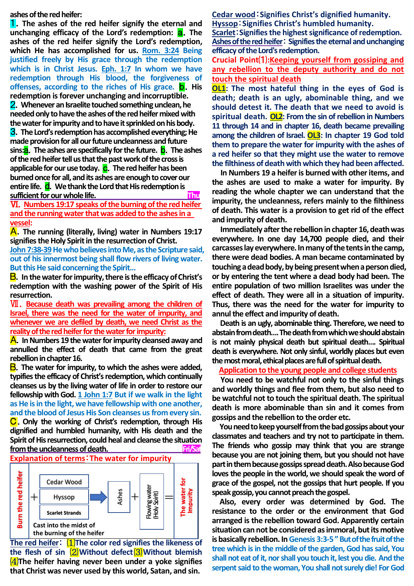**ashes of the red heifer:**

1.**The ashes of the red heifer signify the eternal and unchanging efficacy of the Lord's redemption: <b>a.** The **ashes of the red heifer signify the Lord's redemption, which He has accomplished for us. Rom. 3:24 Being justified freely by His grace through the redemption which is in Christ Jesus. Eph. 1:7 In whom we have redemption through His blood, the forgiveness of offenses, according to the riches of His grace. b**. His **redemption is forever unchanging and incorruptible.** 2.**Whenever an Israelite touched something unclean, he needed only to have the ashes of the red heifer mixed with the water for impurity and to have it sprinkled on his body.** 3.**The Lord's redemption has accomplished everything; He made provision for all our future uncleanness and future sins:**a.**The ashes are specifically for the future.** b.**The ashes of the red heifer tell us that the past work of the cross is**  applicable for our use today. **C**. The red heifer has been **burned once for all, and its ashes are enough to cover our entire life.** d.**We thank the Lord that His redemption is sufficient for our whole life. Thu Thu** 

Ⅵ.**Numbers 19:17 speaks of the burning of the red heifer and the running water that was added to the ashes in a vessel:** 

A.**The running (literally, living) water in Numbers 19:17 signifies the Holy Spirit in the resurrection of Christ.**

John 7:38-39 He who believes into Me, as the Scripture said. **out of his innermost being shall flow rivers of living water. But this He said concerning the Spirit…**

B.**In the water for impurity, there is the efficacy of Christ's redemption with the washing power of the Spirit of His resurrection.**

Ⅶ.**Because death was prevailing among the children of Israel, there was the need for the water of impurity, and whenever we are defiled by death, we need Christ as the reality of the red heifer for the water for impurity:**

A.**In Numbers 19 the water for impurity cleansed away and annulled the effect of death that came from the great rebellion in chapter 16.**

B.**The water for impurity, to which the ashes were added, typifies the efficacy of Christ's redemption, which continually cleanses us by the living water of life in order to restore our fellowship with God. 1 John 1:7 But if we walk in the light as He is in the light, we have fellowship with one another, and the blood of Jesus His Son cleanses us from every sin.** C.**Only the working of Christ's redemption, through His** 

**dignified and humbled humanity, with His death and the Spirit of His resurrection, could heal and cleanse the situation from the uncleanness of death.** Fristending the state of the state of the state of the state of the state of the state of the state of the state of the state of the state of the state of the state of the state of the stat **Explanation of terms**:**The water for impurity**



**The red heifer**: ⑴**The color red signifies the likeness of the flesh of sin** ⑵**Without defect**⑶**Without blemish**  ⑷**The heifer having never been under a yoke signifies that Christ was never used by this world, Satan, and sin.** 

**Cedar wood**:**Signifies Christ's dignified humanity. Hyssop**:**Signifies Christ's humbled humanity.**

**Scarlet**:**Signifies the highest significance ofredemption. Ashes of the red heifer**: **Signifiesthe eternal and unchanging efficacy of the Lord's redemption.**

**Crucial Point**⑴**:Keeping yourself from gossiping and any rebellion to the deputy authority and do not touch the spiritual death**

**OL1: The most hateful thing in the eyes of God is death; death is an ugly, abominable thing, and we should detest it. The death that we need to avoid is spiritual death. OL2: From the sin of rebellion in Numbers 11 through 14 and in chapter 16, death became prevailing among the children of Israel. OL3: In chapter 19 God told them to prepare the water for impurity with the ashes of a red heifer so that they might use the water to remove the filthiness of death with which they had been affected.**

**In Numbers 19 a heifer is burned with other items, and the ashes are used to make a water for impurity. By reading the whole chapter we can understand that the impurity, the uncleanness, refers mainly to the filthiness of death. This water is a provision to get rid of the effect and impurity of death.** 

**Immediately after the rebellion in chapter 16, death was everywhere. In one day 14,700 people died, and their carcasses lay everywhere. In many of the tents in the camp, there were dead bodies. A man became contaminated by touching a dead body, by being present when a person died, or by entering the tent where a dead body had been. The entire population of two million Israelites was under the effect of death. They were all in a situation of impurity. Thus, there was the need for the water for impurity to annul the effect and impurity of death.** 

**Death is an ugly, abominable thing. Therefore, we need to abstain from death….The death from which we should abstain is not mainly physical death but spiritual death…. Spiritual death is everywhere. Not only sinful, worldly places but even the most moral, ethical places are full of spiritual death.** 

### **Application to the young people and college students**

**You need to be watchful not only to the sinful things and worldly things and flee from them, but also need to be watchful not to touch the spiritual death. The spiritual death is more abominable than sin and it comes from gossips and the rebellion to the order etc.** 

**You need to keep yourself from the bad gossips about your classmates and teachers and try not to participate in them. The friends who gossip may think that you are strange because you are not joining them, but you should not have part in them because gossips spread death. Also because God loves the people in the world, we should speak the word of grace of the gospel, not the gossips that hurt people. If you speak gossip, you cannot preach the gospel.** 

 **Also, every order was determined by God. The resistance to the order or the environment that God arranged is the rebellion toward God. Apparently certain**  situation can not be considered as immoral, but its motive **is basically rebellion. In Genesis 3:3-5"But of the fruit of the tree which is in the middle of the garden, God has said, You shall not eat of it, nor shall you touch it, lest you die. And the serpent said to the woman, You shall not surely die! For God**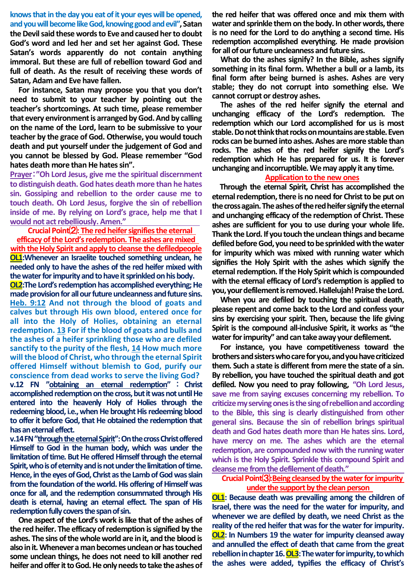**knows that in the day you eat of it your eyes will be opened, and you will become like God, knowing good and evil", Satan the Devil said these words to Eve and caused her to doubt God's word and led her and set her against God. These Satan's words apparently do not contain anything immoral. But these are full of rebellion toward God and full of death. As the result of receiving these words of Satan, Adam and Eve have fallen.** 

**For instance, Satan may propose you that you don't need to submit to your teacher by pointing out the teacher's shortcomings. At such time, please remember that every environment is arranged by God. And by calling on the name of the Lord, learn to be submissive to your teacher by the grace of God. Otherwise, you would touch death and put yourself under the judgement of God and you cannot be blessed by God. Please remember "God hates death more than He hates sin".**

**Prayer**:**"Oh Lord Jesus, give me the spiritual discernment to distinguish death. God hates death more than he hates sin. Gossiping and rebellion to the order cause me to touch death. Oh Lord Jesus, forgive the sin of rebellion inside of me. By relying on Lord's grace, help me that I would not act rebelliously. Amen."**

**Crucial Point**⑵**: The red heifer signifies the eternal efficacy of the Lord's redemption. The ashes are mixed with the Holy Spirit and apply to cleanse the defiledpeople OL1:Whenever an Israelite touched something unclean, he needed only to have the ashes of the red heifer mixed with the water for impurity and to have it sprinkled on his body.**

**OL2:The Lord's redemption has accomplished everything; He**  made provision for all our future uncleanness and future sins. **Heb. 9:12 And not through the blood of goats and calves but through His own blood, entered once for all into the Holy of Holies, obtaining an eternal redemption. 13 For if the blood of goats and bulls and the ashes of a heifer sprinkling those who are defiled sanctify to the purity of the flesh, 14 How much more will the blood of Christ, who through the eternal Spirit offered Himself without blemish to God, purify our conscience from dead works to serve the living God? v.12 FN "obtaining an eternal redemption"** : **Christ accomplished redemption on the cross, but it was not until He entered into the heavenly Holy of Holies through the redeeming blood, i.e., when He brought His redeeming blood to offer it before God, that He obtained the redemption that has an eternal effect.** 

**v.14 FN "through the eternalSpirit": On the cross Christ offered Himself to God in the human body, which was under the limitation of time. But He offered Himself through the eternal Spirit, who is of eternity and is not under the limitation of time.**  Hence, in the eyes of God, Christ as the Lamb of God was slain **from the foundation of the world. His offering of Himself was once for all, and the redemption consummated through His death is eternal, having an eternal effect. The span of His redemption fully covers the span of sin.**

**One aspect of the Lord's work is like that of the ashes of the red heifer. The efficacy of redemption is signified by the ashes. The sins of the whole world are in it, and the blood is also in it. Whenever a man becomes unclean or has touched some unclean things, he does not need to kill another red heifer and offer it to God. He only needs to take the ashes of**  **the red heifer that was offered once and mix them with water and sprinkle them on the body. In other words, there is no need for the Lord to do anything a second time. His redemption accomplished everything. He made provision for all of our future uncleanness and future sins.**

**What do the ashes signify? In the Bible, ashes signify something in its final form. Whether a bull or a lamb, its final form after being burned is ashes. Ashes are very stable; they do not corrupt into something else. We cannot corrupt or destroy ashes.** 

**The ashes of the red heifer signify the eternal and unchanging efficacy of the Lord's redemption. The redemption which our Lord accomplished for us is most stable. Do not think that rocks on mountains are stable. Even rocks can be burned into ashes. Ashes are more stable than rocks. The ashes of the red heifer signify the Lord's redemption which He has prepared for us. It is forever unchanging and incorruptible. We may apply it any time.** 

#### **Application to the new ones**

**Through the eternal Spirit, Christ has accomplished the eternal redemption, there is no need for Christ to be put on the cross again. The ashes of the red heifer signify the eternal and unchanging efficacy of the redemption of Christ. These ashes are sufficient for you to use during your whole life. Thank the Lord. If you touch the unclean things and became defiled before God, you need to be sprinkled with the water for impurity which was mixed with running water which signifies the Holy Spirit with the ashes which signify the eternal redemption. If the Holy Spirit which is compounded with the eternal efficacy of Lord's redemption is applied to you, your defilement is removed. Hallelujah! Praise the Lord.** 

**When you are defiled by touching the spiritual death, please repent and come back to the Lord and confess your sins by exercising your spirit. Then, because the life giving Spirit is the compound all-inclusive Spirit, it works as "the water for impurity" and can take away your defilement.** 

**For instance, you have competitiveness toward the brothers and sisters who care for you, and you have criticized them. Such a state is different from mere the state of a sin. By rebellion, you have touched the spiritual death and got defiled. Now you need to pray following, "Oh Lord Jesus, save me from saying excuses concerning my rebellion. To criticize my serving ones is the sing of rebellion and according to the Bible, this sing is clearly distinguished from other general sins. Because the sin of rebellion brings spiritual death and God hates death more than He hates sins. Lord, have mercy on me. The ashes which are the eternal redemption, are compounded now with the running water which is the Holy Spirit. Sprinkle this compound Spirit and cleanse me from the defilement of death."** 

### **CrucialPoint**⑶**:Being cleansed by the water for impurity under the support by the clean person**

**OL1: Because death was prevailing among the children of Israel, there was the need for the water for impurity, and whenever we are defiled by death, we need Christ as the reality of the red heifer that was for the water for impurity. OL2: In Numbers 19 the water for impurity cleansed away and annulled the effect of death that came from the great rebellion in chapter 16. OL3:The water for impurity, to which the ashes were added, typifies the efficacy of Christ's**